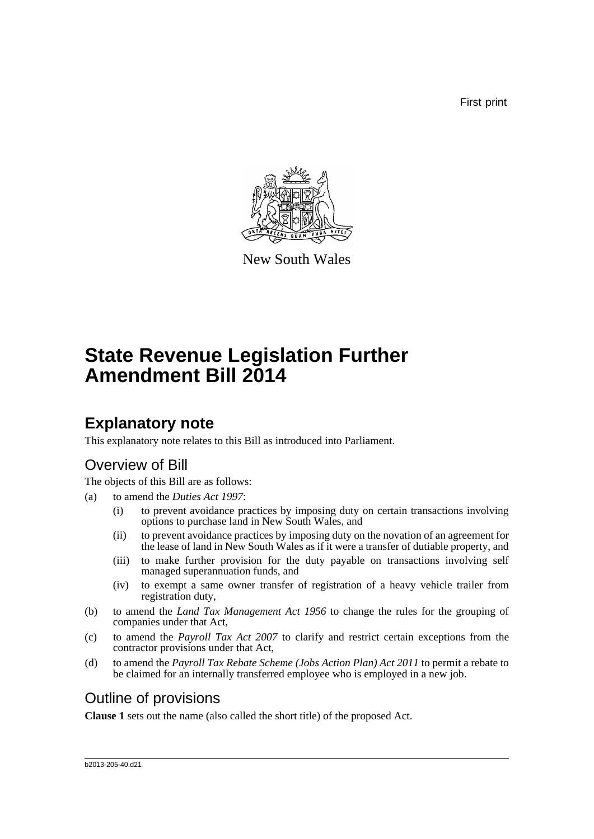First print



New South Wales

# **State Revenue Legislation Further Amendment Bill 2014**

# **Explanatory note**

This explanatory note relates to this Bill as introduced into Parliament.

# Overview of Bill

The objects of this Bill are as follows:

- (a) to amend the *Duties Act 1997*:
	- (i) to prevent avoidance practices by imposing duty on certain transactions involving options to purchase land in New South Wales, and
	- (ii) to prevent avoidance practices by imposing duty on the novation of an agreement for the lease of land in New South Wales as if it were a transfer of dutiable property, and
	- (iii) to make further provision for the duty payable on transactions involving self managed superannuation funds, and
	- (iv) to exempt a same owner transfer of registration of a heavy vehicle trailer from registration duty,
- (b) to amend the *Land Tax Management Act 1956* to change the rules for the grouping of companies under that Act,
- (c) to amend the *Payroll Tax Act 2007* to clarify and restrict certain exceptions from the contractor provisions under that Act,
- (d) to amend the *Payroll Tax Rebate Scheme (Jobs Action Plan) Act 2011* to permit a rebate to be claimed for an internally transferred employee who is employed in a new job.

# Outline of provisions

**Clause 1** sets out the name (also called the short title) of the proposed Act.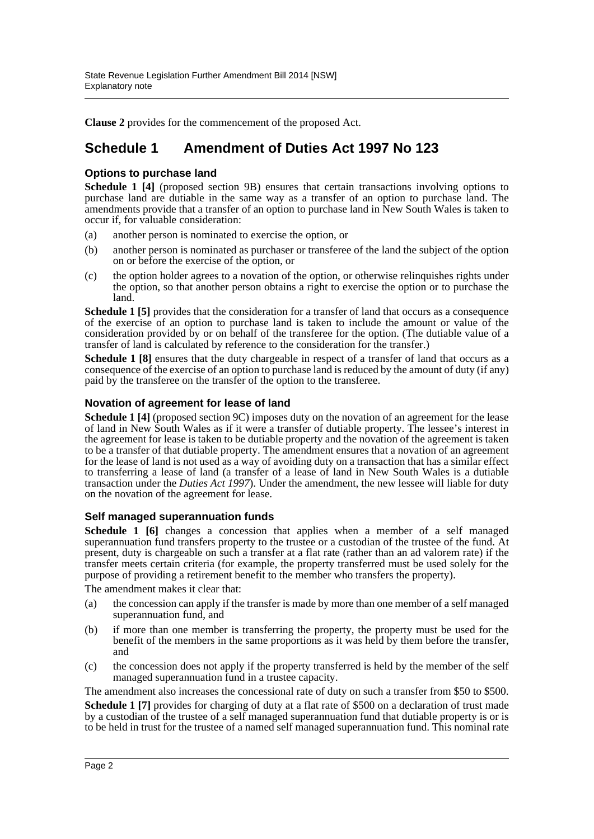**Clause 2** provides for the commencement of the proposed Act.

## **Schedule 1 Amendment of Duties Act 1997 No 123**

### **Options to purchase land**

**Schedule 1 [4]** (proposed section 9B) ensures that certain transactions involving options to purchase land are dutiable in the same way as a transfer of an option to purchase land. The amendments provide that a transfer of an option to purchase land in New South Wales is taken to occur if, for valuable consideration:

- (a) another person is nominated to exercise the option, or
- (b) another person is nominated as purchaser or transferee of the land the subject of the option on or before the exercise of the option, or
- (c) the option holder agrees to a novation of the option, or otherwise relinquishes rights under the option, so that another person obtains a right to exercise the option or to purchase the land.

**Schedule 1 [5]** provides that the consideration for a transfer of land that occurs as a consequence of the exercise of an option to purchase land is taken to include the amount or value of the consideration provided by or on behalf of the transferee for the option. (The dutiable value of a transfer of land is calculated by reference to the consideration for the transfer.)

**Schedule 1 [8]** ensures that the duty chargeable in respect of a transfer of land that occurs as a consequence of the exercise of an option to purchase land is reduced by the amount of duty (if any) paid by the transferee on the transfer of the option to the transferee.

### **Novation of agreement for lease of land**

**Schedule 1 [4]** (proposed section 9C) imposes duty on the novation of an agreement for the lease of land in New South Wales as if it were a transfer of dutiable property. The lessee's interest in the agreement for lease is taken to be dutiable property and the novation of the agreement is taken to be a transfer of that dutiable property. The amendment ensures that a novation of an agreement for the lease of land is not used as a way of avoiding duty on a transaction that has a similar effect to transferring a lease of land (a transfer of a lease of land in New South Wales is a dutiable transaction under the *Duties Act 1997*). Under the amendment, the new lessee will liable for duty on the novation of the agreement for lease.

### **Self managed superannuation funds**

**Schedule 1 [6]** changes a concession that applies when a member of a self managed superannuation fund transfers property to the trustee or a custodian of the trustee of the fund. At present, duty is chargeable on such a transfer at a flat rate (rather than an ad valorem rate) if the transfer meets certain criteria (for example, the property transferred must be used solely for the purpose of providing a retirement benefit to the member who transfers the property).

The amendment makes it clear that:

- (a) the concession can apply if the transfer is made by more than one member of a self managed superannuation fund, and
- (b) if more than one member is transferring the property, the property must be used for the benefit of the members in the same proportions as it was held by them before the transfer, and
- (c) the concession does not apply if the property transferred is held by the member of the self managed superannuation fund in a trustee capacity.

The amendment also increases the concessional rate of duty on such a transfer from \$50 to \$500.

**Schedule 1 [7]** provides for charging of duty at a flat rate of \$500 on a declaration of trust made by a custodian of the trustee of a self managed superannuation fund that dutiable property is or is to be held in trust for the trustee of a named self managed superannuation fund. This nominal rate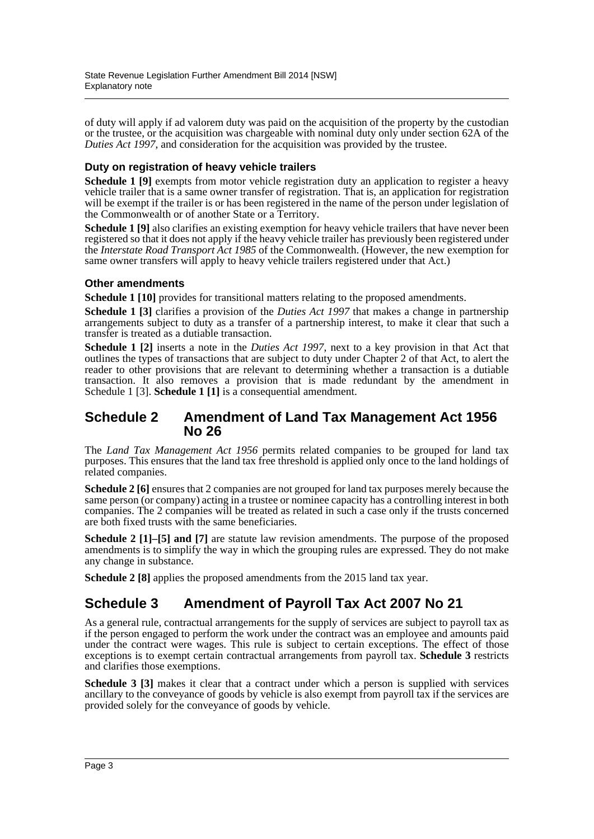of duty will apply if ad valorem duty was paid on the acquisition of the property by the custodian or the trustee, or the acquisition was chargeable with nominal duty only under section 62A of the *Duties Act 1997*, and consideration for the acquisition was provided by the trustee.

### **Duty on registration of heavy vehicle trailers**

**Schedule 1 [9]** exempts from motor vehicle registration duty an application to register a heavy vehicle trailer that is a same owner transfer of registration. That is, an application for registration will be exempt if the trailer is or has been registered in the name of the person under legislation of the Commonwealth or of another State or a Territory.

**Schedule 1 [9]** also clarifies an existing exemption for heavy vehicle trailers that have never been registered so that it does not apply if the heavy vehicle trailer has previously been registered under the *Interstate Road Transport Act 1985* of the Commonwealth. (However, the new exemption for same owner transfers will apply to heavy vehicle trailers registered under that Act.)

### **Other amendments**

**Schedule 1 [10]** provides for transitional matters relating to the proposed amendments.

**Schedule 1 [3]** clarifies a provision of the *Duties Act 1997* that makes a change in partnership arrangements subject to duty as a transfer of a partnership interest, to make it clear that such a transfer is treated as a dutiable transaction.

**Schedule 1 [2]** inserts a note in the *Duties Act 1997*, next to a key provision in that Act that outlines the types of transactions that are subject to duty under Chapter 2 of that Act, to alert the reader to other provisions that are relevant to determining whether a transaction is a dutiable transaction. It also removes a provision that is made redundant by the amendment in Schedule 1 [3]. **Schedule 1 [1]** is a consequential amendment.

## **Schedule 2 Amendment of Land Tax Management Act 1956 No 26**

The *Land Tax Management Act 1956* permits related companies to be grouped for land tax purposes. This ensures that the land tax free threshold is applied only once to the land holdings of related companies.

**Schedule 2 [6]** ensures that 2 companies are not grouped for land tax purposes merely because the same person (or company) acting in a trustee or nominee capacity has a controlling interest in both companies. The 2 companies will be treated as related in such a case only if the trusts concerned are both fixed trusts with the same beneficiaries.

**Schedule 2 [1]–[5] and [7]** are statute law revision amendments. The purpose of the proposed amendments is to simplify the way in which the grouping rules are expressed. They do not make any change in substance.

**Schedule 2 [8]** applies the proposed amendments from the 2015 land tax year.

# **Schedule 3 Amendment of Payroll Tax Act 2007 No 21**

As a general rule, contractual arrangements for the supply of services are subject to payroll tax as if the person engaged to perform the work under the contract was an employee and amounts paid under the contract were wages. This rule is subject to certain exceptions. The effect of those exceptions is to exempt certain contractual arrangements from payroll tax. **Schedule 3** restricts and clarifies those exemptions.

**Schedule 3 [3]** makes it clear that a contract under which a person is supplied with services ancillary to the conveyance of goods by vehicle is also exempt from payroll tax if the services are provided solely for the conveyance of goods by vehicle.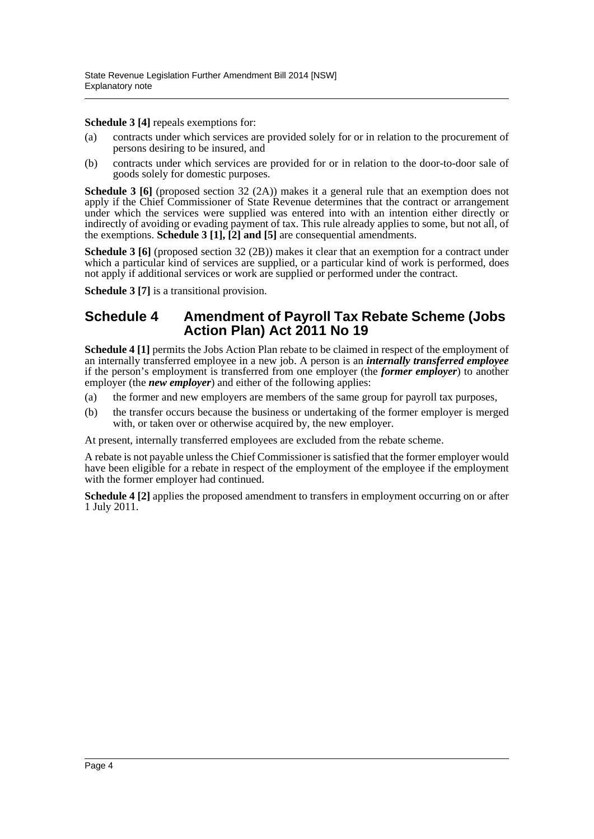**Schedule 3 [4]** repeals exemptions for:

- (a) contracts under which services are provided solely for or in relation to the procurement of persons desiring to be insured, and
- (b) contracts under which services are provided for or in relation to the door-to-door sale of goods solely for domestic purposes.

**Schedule 3 [6]** (proposed section 32 (2A)) makes it a general rule that an exemption does not apply if the Chief Commissioner of State Revenue determines that the contract or arrangement under which the services were supplied was entered into with an intention either directly or indirectly of avoiding or evading payment of tax. This rule already applies to some, but not all, of the exemptions. **Schedule 3 [1], [2] and [5]** are consequential amendments.

**Schedule 3 [6]** (proposed section 32 (2B)) makes it clear that an exemption for a contract under which a particular kind of services are supplied, or a particular kind of work is performed, does not apply if additional services or work are supplied or performed under the contract.

**Schedule 3 [7]** is a transitional provision.

## **Schedule 4 Amendment of Payroll Tax Rebate Scheme (Jobs Action Plan) Act 2011 No 19**

**Schedule 4 [1]** permits the Jobs Action Plan rebate to be claimed in respect of the employment of an internally transferred employee in a new job. A person is an *internally transferred employee* if the person's employment is transferred from one employer (the *former employer*) to another employer (the *new employer*) and either of the following applies:

- (a) the former and new employers are members of the same group for payroll tax purposes,
- (b) the transfer occurs because the business or undertaking of the former employer is merged with, or taken over or otherwise acquired by, the new employer.

At present, internally transferred employees are excluded from the rebate scheme.

A rebate is not payable unless the Chief Commissioner is satisfied that the former employer would have been eligible for a rebate in respect of the employment of the employee if the employment with the former employer had continued.

**Schedule 4 [2]** applies the proposed amendment to transfers in employment occurring on or after 1 July 2011.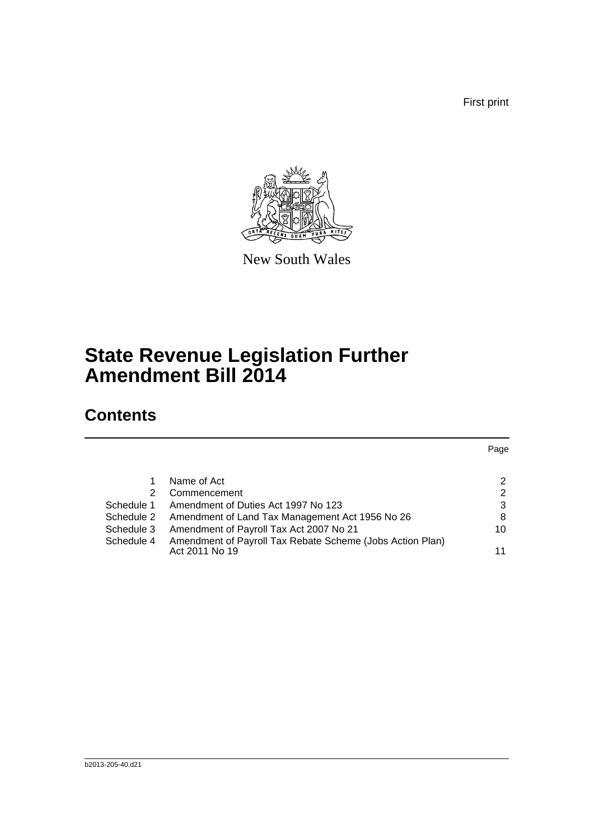First print



New South Wales

# **State Revenue Legislation Further Amendment Bill 2014**

# **Contents**

|            |                                                           | Page |
|------------|-----------------------------------------------------------|------|
|            | Name of Act                                               | 2    |
|            |                                                           |      |
| 2          | Commencement                                              | 2    |
| Schedule 1 | Amendment of Duties Act 1997 No 123                       | 3    |
| Schedule 2 | Amendment of Land Tax Management Act 1956 No 26           | 8    |
| Schedule 3 | Amendment of Payroll Tax Act 2007 No 21                   | 10   |
| Schedule 4 | Amendment of Payroll Tax Rebate Scheme (Jobs Action Plan) |      |
|            | Act 2011 No 19                                            | 11   |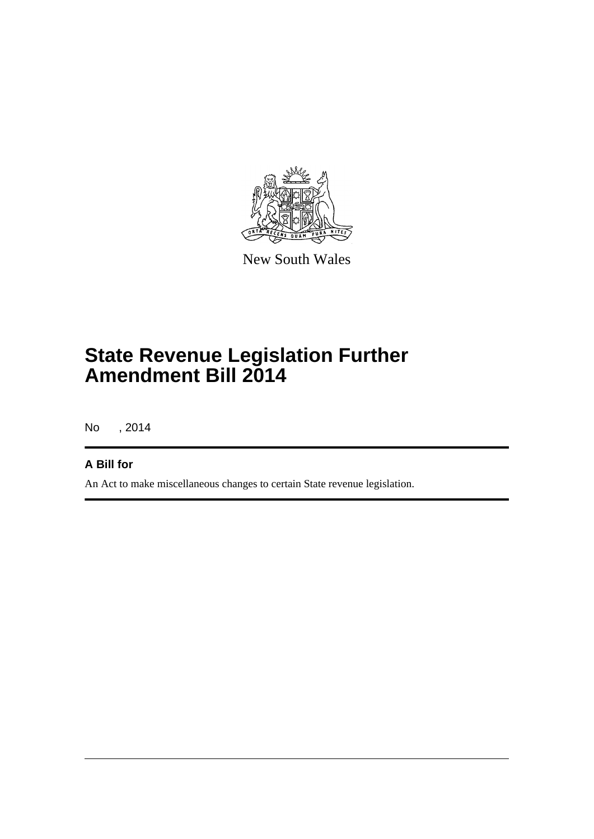

New South Wales

# **State Revenue Legislation Further Amendment Bill 2014**

No , 2014

## **A Bill for**

An Act to make miscellaneous changes to certain State revenue legislation.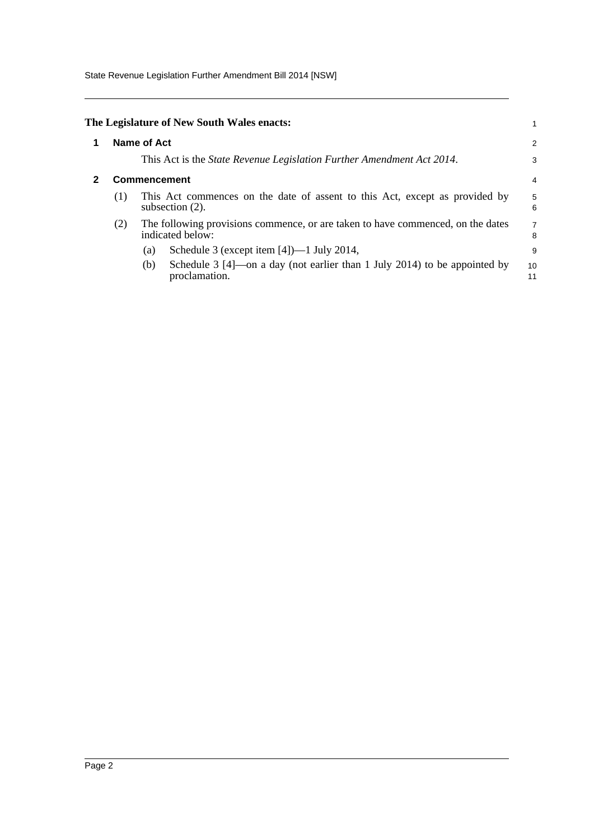State Revenue Legislation Further Amendment Bill 2014 [NSW]

<span id="page-6-1"></span><span id="page-6-0"></span>

|                                       |     | The Legislature of New South Wales enacts:                                                            | 1                   |  |
|---------------------------------------|-----|-------------------------------------------------------------------------------------------------------|---------------------|--|
| Name of Act                           |     |                                                                                                       |                     |  |
|                                       |     | This Act is the <i>State Revenue Legislation Further Amendment Act 2014</i> .                         | 3                   |  |
| <b>Commencement</b><br>$\overline{4}$ |     |                                                                                                       |                     |  |
| (1)                                   |     | This Act commences on the date of assent to this Act, except as provided by<br>subsection $(2)$ .     | 5<br>6              |  |
| (2)                                   |     | The following provisions commence, or are taken to have commenced, on the dates<br>indicated below:   | $\overline{7}$<br>8 |  |
|                                       | (a) | Schedule 3 (except item $[4]$ )—1 July 2014,                                                          | 9                   |  |
|                                       | (b) | Schedule $3 \text{ [4]}$ —on a day (not earlier than 1 July 2014) to be appointed by<br>proclamation. | 10<br>11            |  |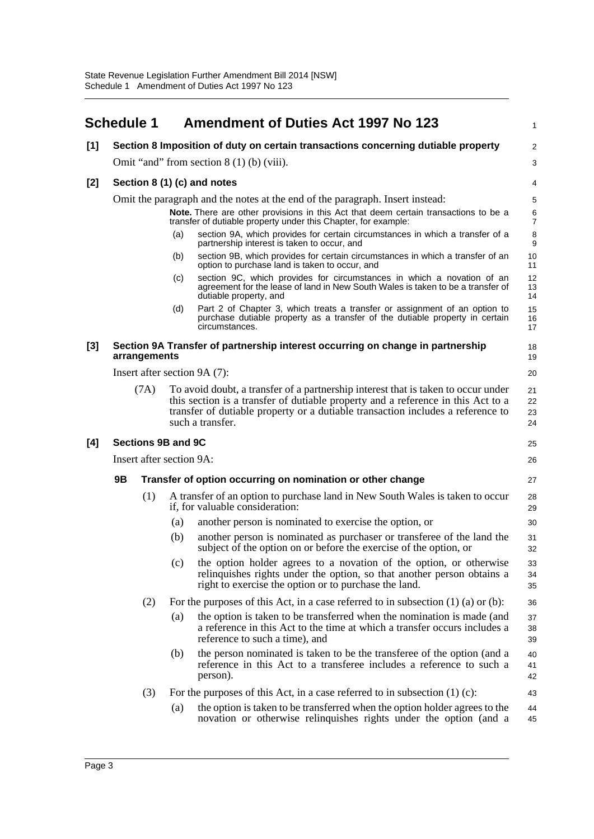<span id="page-7-0"></span>

|       | <b>Schedule 1</b> |              |                          | <b>Amendment of Duties Act 1997 No 123</b>                                                                                                                                                                                                                                   | $\mathbf{1}$            |
|-------|-------------------|--------------|--------------------------|------------------------------------------------------------------------------------------------------------------------------------------------------------------------------------------------------------------------------------------------------------------------------|-------------------------|
| [1]   |                   |              |                          | Section 8 Imposition of duty on certain transactions concerning dutiable property                                                                                                                                                                                            | $\overline{2}$          |
|       |                   |              |                          | Omit "and" from section $8(1)$ (b) (viii).                                                                                                                                                                                                                                   | 3                       |
| [2]   |                   |              |                          | Section 8 (1) (c) and notes                                                                                                                                                                                                                                                  | 4                       |
|       |                   |              |                          | Omit the paragraph and the notes at the end of the paragraph. Insert instead:                                                                                                                                                                                                | 5                       |
|       |                   |              |                          | Note. There are other provisions in this Act that deem certain transactions to be a<br>transfer of dutiable property under this Chapter, for example:                                                                                                                        | $\,6$<br>$\overline{7}$ |
|       |                   |              | (a)                      | section 9A, which provides for certain circumstances in which a transfer of a<br>partnership interest is taken to occur, and                                                                                                                                                 | $\bf 8$<br>9            |
|       |                   |              | (b)                      | section 9B, which provides for certain circumstances in which a transfer of an<br>option to purchase land is taken to occur, and                                                                                                                                             | 10<br>11                |
|       |                   |              | (c)                      | section 9C, which provides for circumstances in which a novation of an<br>agreement for the lease of land in New South Wales is taken to be a transfer of<br>dutiable property, and                                                                                          | 12<br>13<br>14          |
|       |                   |              | (d)                      | Part 2 of Chapter 3, which treats a transfer or assignment of an option to<br>purchase dutiable property as a transfer of the dutiable property in certain<br>circumstances.                                                                                                 | 15<br>16<br>17          |
| $[3]$ |                   | arrangements |                          | Section 9A Transfer of partnership interest occurring on change in partnership                                                                                                                                                                                               | 18<br>19                |
|       |                   |              |                          | Insert after section 9A (7):                                                                                                                                                                                                                                                 | 20                      |
|       |                   | (7A)         |                          | To avoid doubt, a transfer of a partnership interest that is taken to occur under<br>this section is a transfer of dutiable property and a reference in this Act to a<br>transfer of dutiable property or a dutiable transaction includes a reference to<br>such a transfer. | 21<br>22<br>23<br>24    |
| [4]   |                   |              | Sections 9B and 9C       |                                                                                                                                                                                                                                                                              | 25                      |
|       |                   |              | Insert after section 9A: |                                                                                                                                                                                                                                                                              | 26                      |
|       | 9Β                |              |                          | Transfer of option occurring on nomination or other change                                                                                                                                                                                                                   | 27                      |
|       |                   | (1)          |                          | A transfer of an option to purchase land in New South Wales is taken to occur<br>if, for valuable consideration:                                                                                                                                                             | 28<br>29                |
|       |                   |              | (a)                      | another person is nominated to exercise the option, or                                                                                                                                                                                                                       | 30                      |
|       |                   |              | (b)                      | another person is nominated as purchaser or transferee of the land the<br>subject of the option on or before the exercise of the option, or                                                                                                                                  | 31<br>32                |
|       |                   |              | (c)                      | the option holder agrees to a novation of the option, or otherwise<br>relinquishes rights under the option, so that another person obtains a<br>right to exercise the option or to purchase the land.                                                                        | 33<br>34<br>35          |
|       |                   | (2)          |                          | For the purposes of this Act, in a case referred to in subsection $(1)$ $(a)$ or $(b)$ :                                                                                                                                                                                     | 36                      |
|       |                   |              | (a)                      | the option is taken to be transferred when the nomination is made (and<br>a reference in this Act to the time at which a transfer occurs includes a<br>reference to such a time), and                                                                                        | 37<br>38<br>39          |
|       |                   |              | (b)                      | the person nominated is taken to be the transferee of the option (and a<br>reference in this Act to a transferee includes a reference to such a<br>person).                                                                                                                  | 40<br>41<br>42          |
|       |                   | (3)          |                          | For the purposes of this Act, in a case referred to in subsection $(1)$ (c):                                                                                                                                                                                                 | 43                      |
|       |                   |              | (a)                      | the option is taken to be transferred when the option holder agrees to the<br>novation or otherwise relinquishes rights under the option (and a                                                                                                                              | 44<br>45                |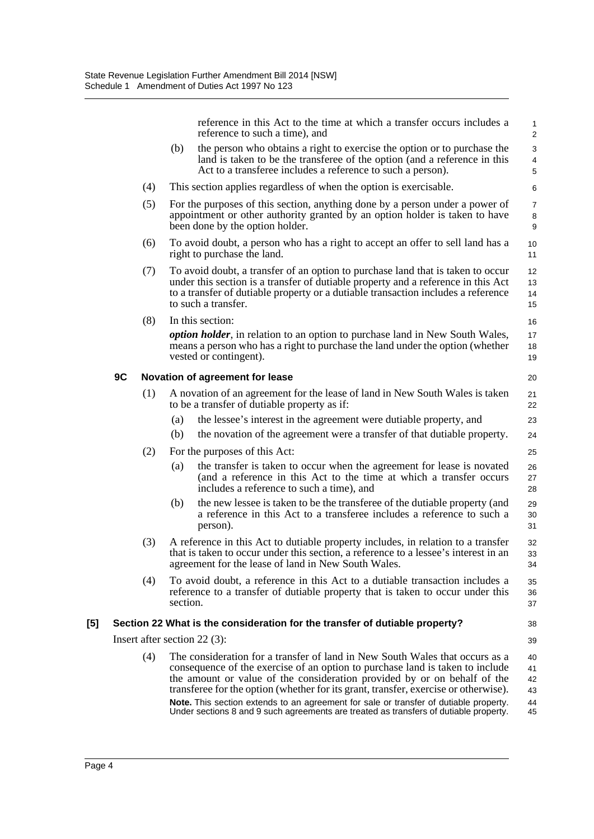|     |    |     |          | reference in this Act to the time at which a transfer occurs includes a<br>reference to such a time), and                                                                                                                                                                                                                        | $\mathbf{1}$<br>$\overline{2}$                        |
|-----|----|-----|----------|----------------------------------------------------------------------------------------------------------------------------------------------------------------------------------------------------------------------------------------------------------------------------------------------------------------------------------|-------------------------------------------------------|
|     |    |     | (b)      | the person who obtains a right to exercise the option or to purchase the<br>land is taken to be the transferee of the option (and a reference in this<br>Act to a transferee includes a reference to such a person).                                                                                                             | $\mathsf 3$<br>$\overline{\mathbf{4}}$<br>$\mathbf 5$ |
|     |    | (4) |          | This section applies regardless of when the option is exercisable.                                                                                                                                                                                                                                                               | 6                                                     |
|     |    | (5) |          | For the purposes of this section, anything done by a person under a power of<br>appointment or other authority granted by an option holder is taken to have<br>been done by the option holder.                                                                                                                                   | $\overline{7}$<br>8<br>9                              |
|     |    | (6) |          | To avoid doubt, a person who has a right to accept an offer to sell land has a<br>right to purchase the land.                                                                                                                                                                                                                    | 10<br>11                                              |
|     |    | (7) |          | To avoid doubt, a transfer of an option to purchase land that is taken to occur<br>under this section is a transfer of dutiable property and a reference in this Act<br>to a transfer of dutiable property or a dutiable transaction includes a reference<br>to such a transfer.                                                 | 12<br>13<br>14<br>15                                  |
|     |    | (8) |          | In this section:<br><i>option holder</i> , in relation to an option to purchase land in New South Wales,<br>means a person who has a right to purchase the land under the option (whether<br>vested or contingent).                                                                                                              | 16<br>17<br>18<br>19                                  |
|     | 9C |     |          | Novation of agreement for lease                                                                                                                                                                                                                                                                                                  | 20                                                    |
|     |    | (1) |          | A novation of an agreement for the lease of land in New South Wales is taken<br>to be a transfer of dutiable property as if:                                                                                                                                                                                                     | 21<br>22                                              |
|     |    |     | (a)      | the lessee's interest in the agreement were dutiable property, and                                                                                                                                                                                                                                                               | 23                                                    |
|     |    |     | (b)      | the novation of the agreement were a transfer of that dutiable property.                                                                                                                                                                                                                                                         | 24                                                    |
|     |    | (2) |          | For the purposes of this Act:                                                                                                                                                                                                                                                                                                    | 25                                                    |
|     |    |     | (a)      | the transfer is taken to occur when the agreement for lease is novated<br>(and a reference in this Act to the time at which a transfer occurs<br>includes a reference to such a time), and                                                                                                                                       | 26<br>27<br>28                                        |
|     |    |     | (b)      | the new lessee is taken to be the transferee of the dutiable property (and<br>a reference in this Act to a transferee includes a reference to such a<br>person).                                                                                                                                                                 | 29<br>30<br>31                                        |
|     |    | (3) |          | A reference in this Act to dutiable property includes, in relation to a transfer<br>that is taken to occur under this section, a reference to a lessee's interest in an<br>agreement for the lease of land in New South Wales.                                                                                                   | 32<br>33<br>34                                        |
|     |    | (4) | section. | To avoid doubt, a reference in this Act to a dutiable transaction includes a<br>reference to a transfer of dutiable property that is taken to occur under this                                                                                                                                                                   | 35<br>36<br>37                                        |
| [5] |    |     |          | Section 22 What is the consideration for the transfer of dutiable property?                                                                                                                                                                                                                                                      | 38                                                    |
|     |    |     |          | Insert after section 22 $(3)$ :                                                                                                                                                                                                                                                                                                  | 39                                                    |
|     |    | (4) |          | The consideration for a transfer of land in New South Wales that occurs as a<br>consequence of the exercise of an option to purchase land is taken to include<br>the amount or value of the consideration provided by or on behalf of the<br>transferee for the option (whether for its grant, transfer, exercise or otherwise). | 40<br>41<br>42<br>43                                  |
|     |    |     |          | Note. This section extends to an agreement for sale or transfer of dutiable property.<br>Under sections 8 and 9 such agreements are treated as transfers of dutiable property.                                                                                                                                                   | 44<br>45                                              |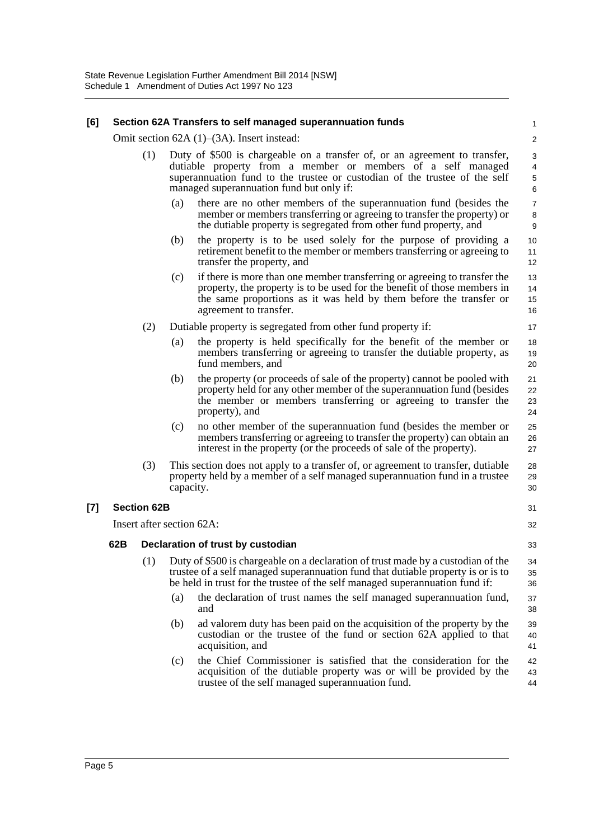#### **[6] Section 62A Transfers to self managed superannuation funds**

Omit section 62A (1)–(3A). Insert instead:

- (1) Duty of \$500 is chargeable on a transfer of, or an agreement to transfer, dutiable property from a member or members of a self managed superannuation fund to the trustee or custodian of the trustee of the self managed superannuation fund but only if:
	- (a) there are no other members of the superannuation fund (besides the member or members transferring or agreeing to transfer the property) or the dutiable property is segregated from other fund property, and

31 32

33

37 38

- (b) the property is to be used solely for the purpose of providing a retirement benefit to the member or members transferring or agreeing to transfer the property, and
- (c) if there is more than one member transferring or agreeing to transfer the property, the property is to be used for the benefit of those members in the same proportions as it was held by them before the transfer or agreement to transfer.

#### (2) Dutiable property is segregated from other fund property if:

- (a) the property is held specifically for the benefit of the member or members transferring or agreeing to transfer the dutiable property, as fund members, and
- (b) the property (or proceeds of sale of the property) cannot be pooled with property held for any other member of the superannuation fund (besides the member or members transferring or agreeing to transfer the property), and
- (c) no other member of the superannuation fund (besides the member or members transferring or agreeing to transfer the property) can obtain an interest in the property (or the proceeds of sale of the property).
- (3) This section does not apply to a transfer of, or agreement to transfer, dutiable property held by a member of a self managed superannuation fund in a trustee capacity. 28 29 30

### **[7] Section 62B**

Insert after section 62A:

### **62B Declaration of trust by custodian**

- (1) Duty of \$500 is chargeable on a declaration of trust made by a custodian of the trustee of a self managed superannuation fund that dutiable property is or is to be held in trust for the trustee of the self managed superannuation fund if: 34 35 36
	- (a) the declaration of trust names the self managed superannuation fund, and
	- (b) ad valorem duty has been paid on the acquisition of the property by the custodian or the trustee of the fund or section 62A applied to that acquisition, and 39 40 41
	- (c) the Chief Commissioner is satisfied that the consideration for the acquisition of the dutiable property was or will be provided by the trustee of the self managed superannuation fund. 42 43 44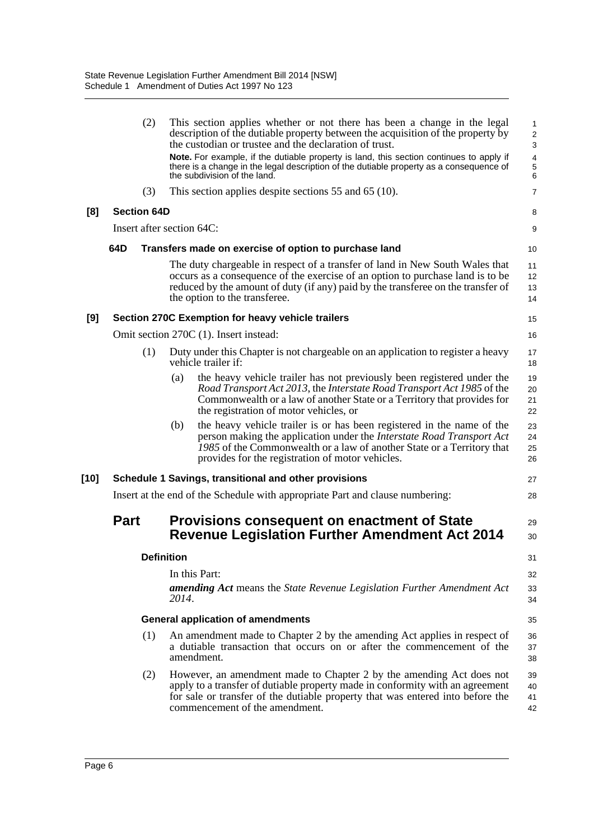|      |                           | (2)               |       | This section applies whether or not there has been a change in the legal<br>description of the dutiable property between the acquisition of the property by<br>the custodian or trustee and the declaration of trust.                                                                | $\mathbf{1}$<br>$\sqrt{2}$<br>$\sqrt{3}$ |
|------|---------------------------|-------------------|-------|--------------------------------------------------------------------------------------------------------------------------------------------------------------------------------------------------------------------------------------------------------------------------------------|------------------------------------------|
|      |                           |                   |       | Note. For example, if the dutiable property is land, this section continues to apply if<br>there is a change in the legal description of the dutiable property as a consequence of<br>the subdivision of the land.                                                                   | $\overline{4}$<br>$\mathbf 5$<br>$\,6$   |
|      |                           | (3)               |       | This section applies despite sections 55 and 65 (10).                                                                                                                                                                                                                                | 7                                        |
| [8]  | <b>Section 64D</b>        |                   |       |                                                                                                                                                                                                                                                                                      | 8                                        |
|      | Insert after section 64C: |                   |       |                                                                                                                                                                                                                                                                                      | 9                                        |
|      | 64D                       |                   |       | Transfers made on exercise of option to purchase land                                                                                                                                                                                                                                | 10                                       |
|      |                           |                   |       | The duty chargeable in respect of a transfer of land in New South Wales that<br>occurs as a consequence of the exercise of an option to purchase land is to be<br>reduced by the amount of duty (if any) paid by the transferee on the transfer of<br>the option to the transferee.  | 11<br>12<br>13<br>14                     |
| [9]  |                           |                   |       | Section 270C Exemption for heavy vehicle trailers                                                                                                                                                                                                                                    | 15                                       |
|      |                           |                   |       | Omit section 270C (1). Insert instead:                                                                                                                                                                                                                                               | 16                                       |
|      |                           | (1)               |       | Duty under this Chapter is not chargeable on an application to register a heavy<br>vehicle trailer if:                                                                                                                                                                               | 17<br>18                                 |
|      |                           |                   | (a)   | the heavy vehicle trailer has not previously been registered under the<br>Road Transport Act 2013, the Interstate Road Transport Act 1985 of the<br>Commonwealth or a law of another State or a Territory that provides for<br>the registration of motor vehicles, or                | 19<br>20<br>21<br>22                     |
|      |                           |                   | (b)   | the heavy vehicle trailer is or has been registered in the name of the<br>person making the application under the <i>Interstate Road Transport Act</i><br>1985 of the Commonwealth or a law of another State or a Territory that<br>provides for the registration of motor vehicles. | 23<br>24<br>25<br>26                     |
| [10] |                           |                   |       | Schedule 1 Savings, transitional and other provisions                                                                                                                                                                                                                                | 27                                       |
|      |                           |                   |       | Insert at the end of the Schedule with appropriate Part and clause numbering:                                                                                                                                                                                                        | 28                                       |
|      | <b>Part</b>               |                   |       | <b>Provisions consequent on enactment of State</b><br><b>Revenue Legislation Further Amendment Act 2014</b>                                                                                                                                                                          | 29<br>30                                 |
|      |                           | <b>Definition</b> |       |                                                                                                                                                                                                                                                                                      | 31                                       |
|      |                           |                   |       | In this Part:                                                                                                                                                                                                                                                                        | 32                                       |
|      |                           |                   | 2014. | <b>amending Act</b> means the State Revenue Legislation Further Amendment Act                                                                                                                                                                                                        | 33<br>34                                 |
|      |                           |                   |       | <b>General application of amendments</b>                                                                                                                                                                                                                                             | 35                                       |
|      |                           | (1)               |       | An amendment made to Chapter 2 by the amending Act applies in respect of<br>a dutiable transaction that occurs on or after the commencement of the<br>amendment.                                                                                                                     | 36<br>37<br>38                           |
|      |                           | (2)               |       | However, an amendment made to Chapter 2 by the amending Act does not<br>apply to a transfer of dutiable property made in conformity with an agreement<br>for sale or transfer of the dutiable property that was entered into before the<br>commencement of the amendment.            | 39<br>40<br>41<br>42                     |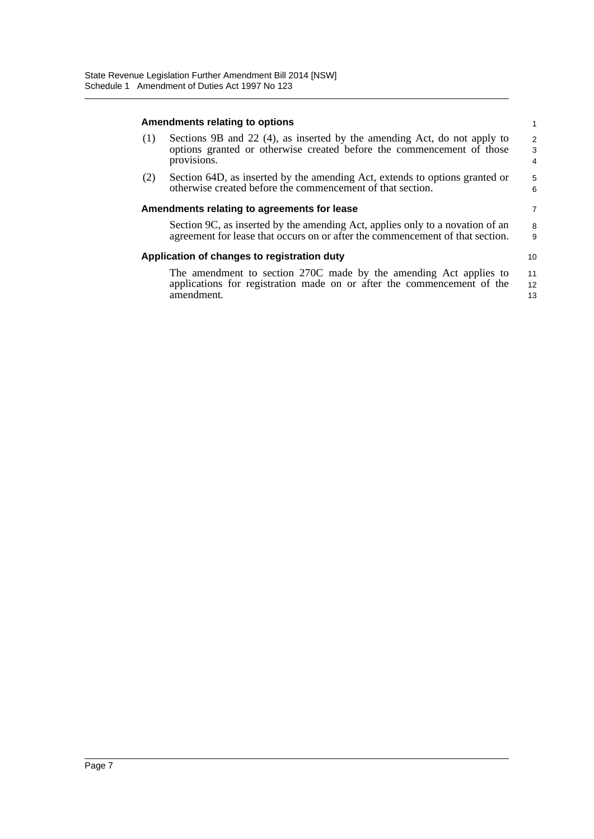#### **Amendments relating to options**

| (1) | Sections 9B and 22 (4), as inserted by the amending Act, do not apply to<br>options granted or otherwise created before the commencement of those<br>provisions. | 2<br>-3<br>4 |
|-----|------------------------------------------------------------------------------------------------------------------------------------------------------------------|--------------|
| (2) | Section 64D, as inserted by the amending Act, extends to options granted or                                                                                      | $5^{\circ}$  |

1

6 7

10

(2) Section 64D, as inserted by the amending Act, extends to options granted or otherwise created before the commencement of that section.

#### **Amendments relating to agreements for lease**

Section 9C, as inserted by the amending Act, applies only to a novation of an agreement for lease that occurs on or after the commencement of that section. 8 9

### **Application of changes to registration duty**

The amendment to section 270C made by the amending Act applies to applications for registration made on or after the commencement of the amendment. 11 12 13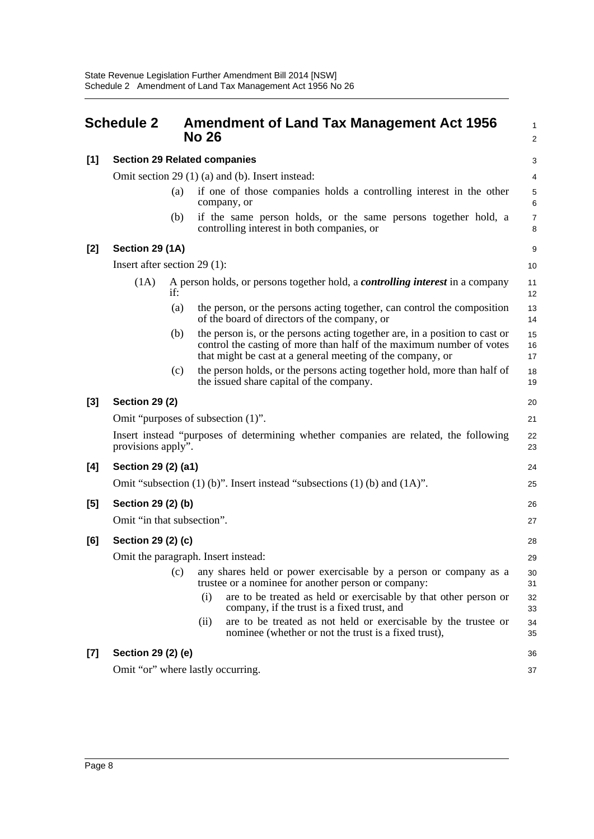<span id="page-12-0"></span>

|       | <b>Schedule 2</b>                   |     | <b>Amendment of Land Tax Management Act 1956</b><br>1<br><b>No 26</b><br>$\overline{\mathbf{c}}$                                                                                                                  |                     |  |  |
|-------|-------------------------------------|-----|-------------------------------------------------------------------------------------------------------------------------------------------------------------------------------------------------------------------|---------------------|--|--|
| $[1]$ | <b>Section 29 Related companies</b> |     |                                                                                                                                                                                                                   |                     |  |  |
|       |                                     |     | Omit section 29 $(1)$ $(a)$ and $(b)$ . Insert instead:                                                                                                                                                           | 4                   |  |  |
|       |                                     | (a) | if one of those companies holds a controlling interest in the other<br>company, or                                                                                                                                | 5<br>6              |  |  |
|       |                                     | (b) | if the same person holds, or the same persons together hold, a<br>controlling interest in both companies, or                                                                                                      | $\overline{7}$<br>8 |  |  |
| $[2]$ | Section 29 (1A)                     |     |                                                                                                                                                                                                                   | 9                   |  |  |
|       | Insert after section $29(1)$ :      |     |                                                                                                                                                                                                                   | 10                  |  |  |
|       | (1A)                                | if: | A person holds, or persons together hold, a <i>controlling interest</i> in a company                                                                                                                              | 11<br>12            |  |  |
|       |                                     | (a) | the person, or the persons acting together, can control the composition<br>of the board of directors of the company, or                                                                                           | 13<br>14            |  |  |
|       |                                     | (b) | the person is, or the persons acting together are, in a position to cast or<br>control the casting of more than half of the maximum number of votes<br>that might be cast at a general meeting of the company, or | 15<br>16<br>17      |  |  |
|       |                                     | (c) | the person holds, or the persons acting together hold, more than half of<br>the issued share capital of the company.                                                                                              | 18<br>19            |  |  |
| $[3]$ | <b>Section 29 (2)</b>               |     |                                                                                                                                                                                                                   | 20                  |  |  |
|       |                                     |     | Omit "purposes of subsection (1)".                                                                                                                                                                                | 21                  |  |  |
|       | provisions apply".                  |     | Insert instead "purposes of determining whether companies are related, the following                                                                                                                              | 22<br>23            |  |  |
| [4]   | Section 29 (2) (a1)                 |     |                                                                                                                                                                                                                   | 24                  |  |  |
|       |                                     |     | Omit "subsection $(1)$ (b)". Insert instead "subsections $(1)$ (b) and $(1A)$ ".                                                                                                                                  | 25                  |  |  |
| $[5]$ | Section 29 (2) (b)                  |     |                                                                                                                                                                                                                   | 26                  |  |  |
|       | Omit "in that subsection".          |     |                                                                                                                                                                                                                   | 27                  |  |  |
| [6]   | Section 29 (2) (c)                  |     |                                                                                                                                                                                                                   | 28                  |  |  |
|       |                                     |     | Omit the paragraph. Insert instead:                                                                                                                                                                               | 29                  |  |  |
|       |                                     | (c) | any shares held or power exercisable by a person or company as a<br>trustee or a nominee for another person or company:                                                                                           | 30<br>31            |  |  |
|       |                                     |     | are to be treated as held or exercisable by that other person or<br>(i)<br>company, if the trust is a fixed trust, and                                                                                            | 32<br>33            |  |  |
|       |                                     |     | are to be treated as not held or exercisable by the trustee or<br>(ii)<br>nominee (whether or not the trust is a fixed trust),                                                                                    | 34<br>35            |  |  |
| $[7]$ | Section 29 (2) (e)                  |     |                                                                                                                                                                                                                   | 36                  |  |  |
|       |                                     |     | Omit "or" where lastly occurring.                                                                                                                                                                                 | 37                  |  |  |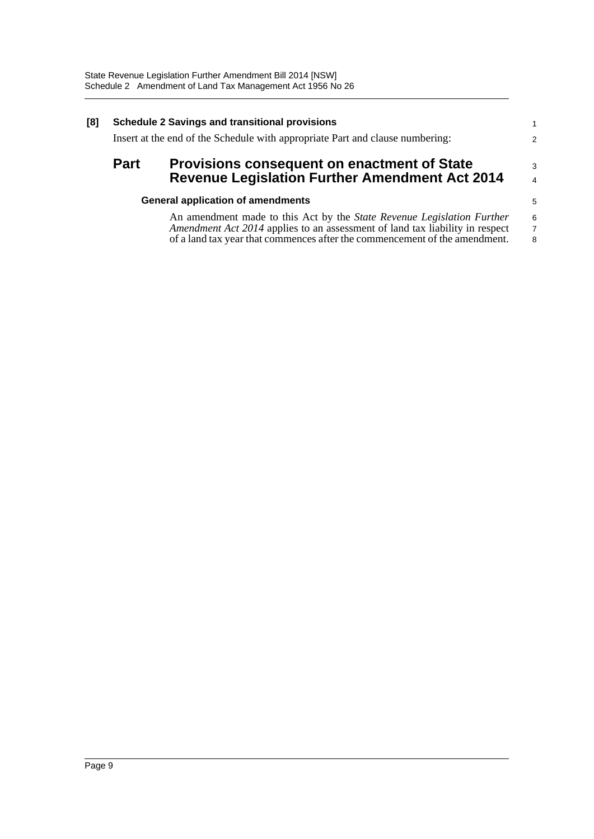| [8] | <b>Schedule 2 Savings and transitional provisions</b>                                                                      |                                                                                                                                                                                                                                      |                          |  |  |  |
|-----|----------------------------------------------------------------------------------------------------------------------------|--------------------------------------------------------------------------------------------------------------------------------------------------------------------------------------------------------------------------------------|--------------------------|--|--|--|
|     | Insert at the end of the Schedule with appropriate Part and clause numbering:                                              |                                                                                                                                                                                                                                      |                          |  |  |  |
|     | <b>Part</b><br><b>Provisions consequent on enactment of State</b><br><b>Revenue Legislation Further Amendment Act 2014</b> |                                                                                                                                                                                                                                      |                          |  |  |  |
|     |                                                                                                                            | <b>General application of amendments</b>                                                                                                                                                                                             | 5                        |  |  |  |
|     |                                                                                                                            | An amendment made to this Act by the State Revenue Legislation Further<br>Amendment Act 2014 applies to an assessment of land tax liability in respect<br>of a land tax year that commences after the commencement of the amendment. | 6<br>$\overline{7}$<br>8 |  |  |  |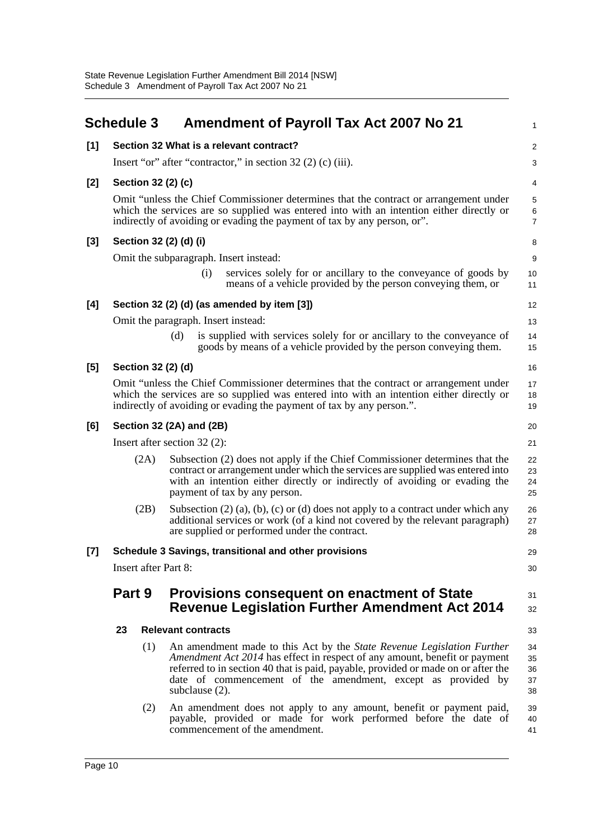<span id="page-14-0"></span>

|       | <b>Schedule 3</b>                                                                                                                                                                                                                                          |                                                              | <b>Amendment of Payroll Tax Act 2007 No 21</b>                                                                                                                                                                                                                                                                              | 1                          |  |  |  |  |
|-------|------------------------------------------------------------------------------------------------------------------------------------------------------------------------------------------------------------------------------------------------------------|--------------------------------------------------------------|-----------------------------------------------------------------------------------------------------------------------------------------------------------------------------------------------------------------------------------------------------------------------------------------------------------------------------|----------------------------|--|--|--|--|
| [1]   |                                                                                                                                                                                                                                                            |                                                              | Section 32 What is a relevant contract?                                                                                                                                                                                                                                                                                     | $\overline{\mathbf{c}}$    |  |  |  |  |
|       |                                                                                                                                                                                                                                                            | Insert "or" after "contractor," in section 32 (2) (c) (iii). |                                                                                                                                                                                                                                                                                                                             |                            |  |  |  |  |
| [2]   |                                                                                                                                                                                                                                                            |                                                              | Section 32 (2) (c)                                                                                                                                                                                                                                                                                                          | 4                          |  |  |  |  |
|       |                                                                                                                                                                                                                                                            |                                                              | Omit "unless the Chief Commissioner determines that the contract or arrangement under<br>which the services are so supplied was entered into with an intention either directly or<br>indirectly of avoiding or evading the payment of tax by any person, or".                                                               | 5<br>6<br>$\overline{7}$   |  |  |  |  |
| [3]   |                                                                                                                                                                                                                                                            |                                                              | Section 32 (2) (d) (i)                                                                                                                                                                                                                                                                                                      | 8                          |  |  |  |  |
|       |                                                                                                                                                                                                                                                            |                                                              | Omit the subparagraph. Insert instead:                                                                                                                                                                                                                                                                                      | 9                          |  |  |  |  |
|       |                                                                                                                                                                                                                                                            |                                                              | services solely for or ancillary to the conveyance of goods by<br>(i)<br>means of a vehicle provided by the person conveying them, or                                                                                                                                                                                       | 10<br>11                   |  |  |  |  |
| [4]   |                                                                                                                                                                                                                                                            |                                                              | Section 32 (2) (d) (as amended by item [3])                                                                                                                                                                                                                                                                                 | 12                         |  |  |  |  |
|       |                                                                                                                                                                                                                                                            |                                                              | Omit the paragraph. Insert instead:                                                                                                                                                                                                                                                                                         | 13                         |  |  |  |  |
|       |                                                                                                                                                                                                                                                            |                                                              | is supplied with services solely for or ancillary to the conveyance of<br>(d)<br>goods by means of a vehicle provided by the person conveying them.                                                                                                                                                                         | 14<br>15                   |  |  |  |  |
| [5]   |                                                                                                                                                                                                                                                            |                                                              | Section 32 (2) (d)                                                                                                                                                                                                                                                                                                          | 16                         |  |  |  |  |
|       | Omit "unless the Chief Commissioner determines that the contract or arrangement under<br>which the services are so supplied was entered into with an intention either directly or<br>indirectly of avoiding or evading the payment of tax by any person.". |                                                              |                                                                                                                                                                                                                                                                                                                             |                            |  |  |  |  |
| [6]   |                                                                                                                                                                                                                                                            |                                                              | Section 32 (2A) and (2B)                                                                                                                                                                                                                                                                                                    | 20                         |  |  |  |  |
|       |                                                                                                                                                                                                                                                            |                                                              | Insert after section $32(2)$ :                                                                                                                                                                                                                                                                                              | 21                         |  |  |  |  |
|       |                                                                                                                                                                                                                                                            | (2A)                                                         | Subsection (2) does not apply if the Chief Commissioner determines that the<br>contract or arrangement under which the services are supplied was entered into<br>with an intention either directly or indirectly of avoiding or evading the<br>payment of tax by any person.                                                | 22<br>23<br>24<br>25       |  |  |  |  |
|       |                                                                                                                                                                                                                                                            | (2B)                                                         | Subsection $(2)$ $(a)$ , $(b)$ , $(c)$ or $(d)$ does not apply to a contract under which any<br>additional services or work (of a kind not covered by the relevant paragraph)<br>are supplied or performed under the contract.                                                                                              | 26<br>27<br>28             |  |  |  |  |
| $[7]$ |                                                                                                                                                                                                                                                            |                                                              | Schedule 3 Savings, transitional and other provisions                                                                                                                                                                                                                                                                       | 29                         |  |  |  |  |
|       | <b>Insert after Part 8:</b><br>30                                                                                                                                                                                                                          |                                                              |                                                                                                                                                                                                                                                                                                                             |                            |  |  |  |  |
|       | Part 9                                                                                                                                                                                                                                                     |                                                              | <b>Provisions consequent on enactment of State</b><br><b>Revenue Legislation Further Amendment Act 2014</b>                                                                                                                                                                                                                 | 31<br>32                   |  |  |  |  |
|       | 23                                                                                                                                                                                                                                                         |                                                              | <b>Relevant contracts</b>                                                                                                                                                                                                                                                                                                   | 33                         |  |  |  |  |
|       |                                                                                                                                                                                                                                                            | (1)                                                          | An amendment made to this Act by the State Revenue Legislation Further<br>Amendment Act 2014 has effect in respect of any amount, benefit or payment<br>referred to in section 40 that is paid, payable, provided or made on or after the<br>date of commencement of the amendment, except as provided by<br>subclause (2). | 34<br>35<br>36<br>37<br>38 |  |  |  |  |
|       |                                                                                                                                                                                                                                                            | (2)                                                          | An amendment does not apply to any amount, benefit or payment paid,<br>payable, provided or made for work performed before the date of<br>commencement of the amendment.                                                                                                                                                    | 39<br>40<br>41             |  |  |  |  |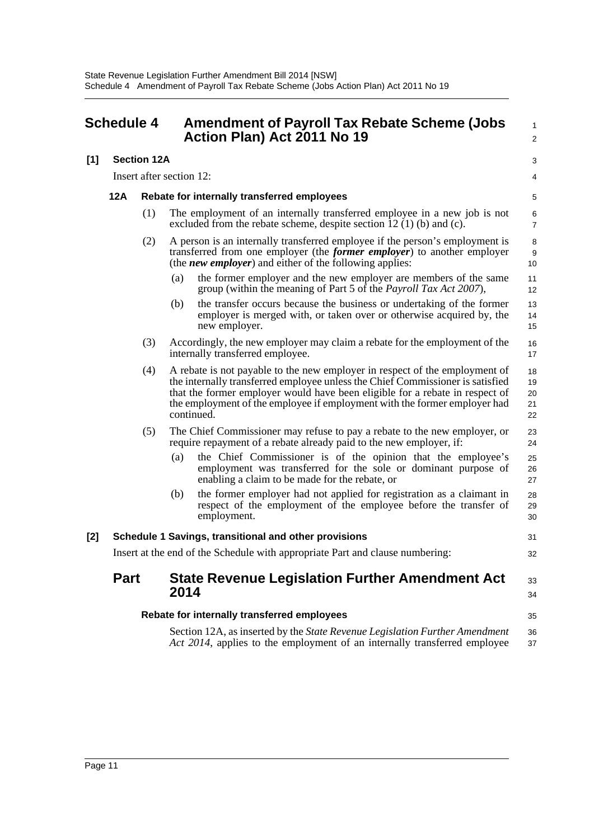<span id="page-15-0"></span>

| <b>Schedule 4</b> |                                                                               |                          | <b>Amendment of Payroll Tax Rebate Scheme (Jobs</b><br>Action Plan) Act 2011 No 19 | $\mathbf{1}$<br>$\overline{2}$                                                                                                                                                                                                                                                                                                           |                            |
|-------------------|-------------------------------------------------------------------------------|--------------------------|------------------------------------------------------------------------------------|------------------------------------------------------------------------------------------------------------------------------------------------------------------------------------------------------------------------------------------------------------------------------------------------------------------------------------------|----------------------------|
| [1]               |                                                                               | <b>Section 12A</b>       |                                                                                    |                                                                                                                                                                                                                                                                                                                                          | 3                          |
|                   |                                                                               | Insert after section 12: |                                                                                    |                                                                                                                                                                                                                                                                                                                                          | 4                          |
|                   | 12A                                                                           |                          |                                                                                    | Rebate for internally transferred employees                                                                                                                                                                                                                                                                                              | 5                          |
|                   |                                                                               | (1)                      |                                                                                    | The employment of an internally transferred employee in a new job is not<br>excluded from the rebate scheme, despite section $\overline{12}$ (1) (b) and (c).                                                                                                                                                                            | 6<br>$\overline{7}$        |
|                   |                                                                               | (2)                      |                                                                                    | A person is an internally transferred employee if the person's employment is<br>transferred from one employer (the former employer) to another employer<br>(the <i>new employer</i> ) and either of the following applies:                                                                                                               | 8<br>9<br>10               |
|                   |                                                                               |                          | (a)                                                                                | the former employer and the new employer are members of the same<br>group (within the meaning of Part 5 of the <i>Payroll Tax Act 2007</i> ),                                                                                                                                                                                            | 11<br>12                   |
|                   |                                                                               |                          | (b)                                                                                | the transfer occurs because the business or undertaking of the former<br>employer is merged with, or taken over or otherwise acquired by, the<br>new employer.                                                                                                                                                                           | 13<br>14<br>15             |
|                   |                                                                               | (3)                      |                                                                                    | Accordingly, the new employer may claim a rebate for the employment of the<br>internally transferred employee.                                                                                                                                                                                                                           | 16<br>17                   |
|                   |                                                                               | (4)                      |                                                                                    | A rebate is not payable to the new employer in respect of the employment of<br>the internally transferred employee unless the Chief Commissioner is satisfied<br>that the former employer would have been eligible for a rebate in respect of<br>the employment of the employee if employment with the former employer had<br>continued. | 18<br>19<br>20<br>21<br>22 |
|                   |                                                                               | (5)                      |                                                                                    | The Chief Commissioner may refuse to pay a rebate to the new employer, or<br>require repayment of a rebate already paid to the new employer, if:                                                                                                                                                                                         | 23<br>24                   |
|                   |                                                                               |                          | (a)                                                                                | the Chief Commissioner is of the opinion that the employee's<br>employment was transferred for the sole or dominant purpose of<br>enabling a claim to be made for the rebate, or                                                                                                                                                         | 25<br>26<br>27             |
|                   |                                                                               |                          | (b)                                                                                | the former employer had not applied for registration as a claimant in<br>respect of the employment of the employee before the transfer of<br>employment.                                                                                                                                                                                 | 28<br>29<br>30             |
| $[2]$             |                                                                               |                          |                                                                                    | Schedule 1 Savings, transitional and other provisions                                                                                                                                                                                                                                                                                    | 31                         |
|                   | Insert at the end of the Schedule with appropriate Part and clause numbering: |                          |                                                                                    |                                                                                                                                                                                                                                                                                                                                          | 32                         |
|                   | <b>Part</b>                                                                   |                          | 2014                                                                               | <b>State Revenue Legislation Further Amendment Act</b>                                                                                                                                                                                                                                                                                   | 33<br>34                   |
|                   |                                                                               |                          |                                                                                    | Rebate for internally transferred employees                                                                                                                                                                                                                                                                                              | 35                         |
|                   |                                                                               |                          |                                                                                    | Section 12A, as inserted by the State Revenue Legislation Further Amendment<br>Act 2014, applies to the employment of an internally transferred employee                                                                                                                                                                                 | 36<br>37                   |